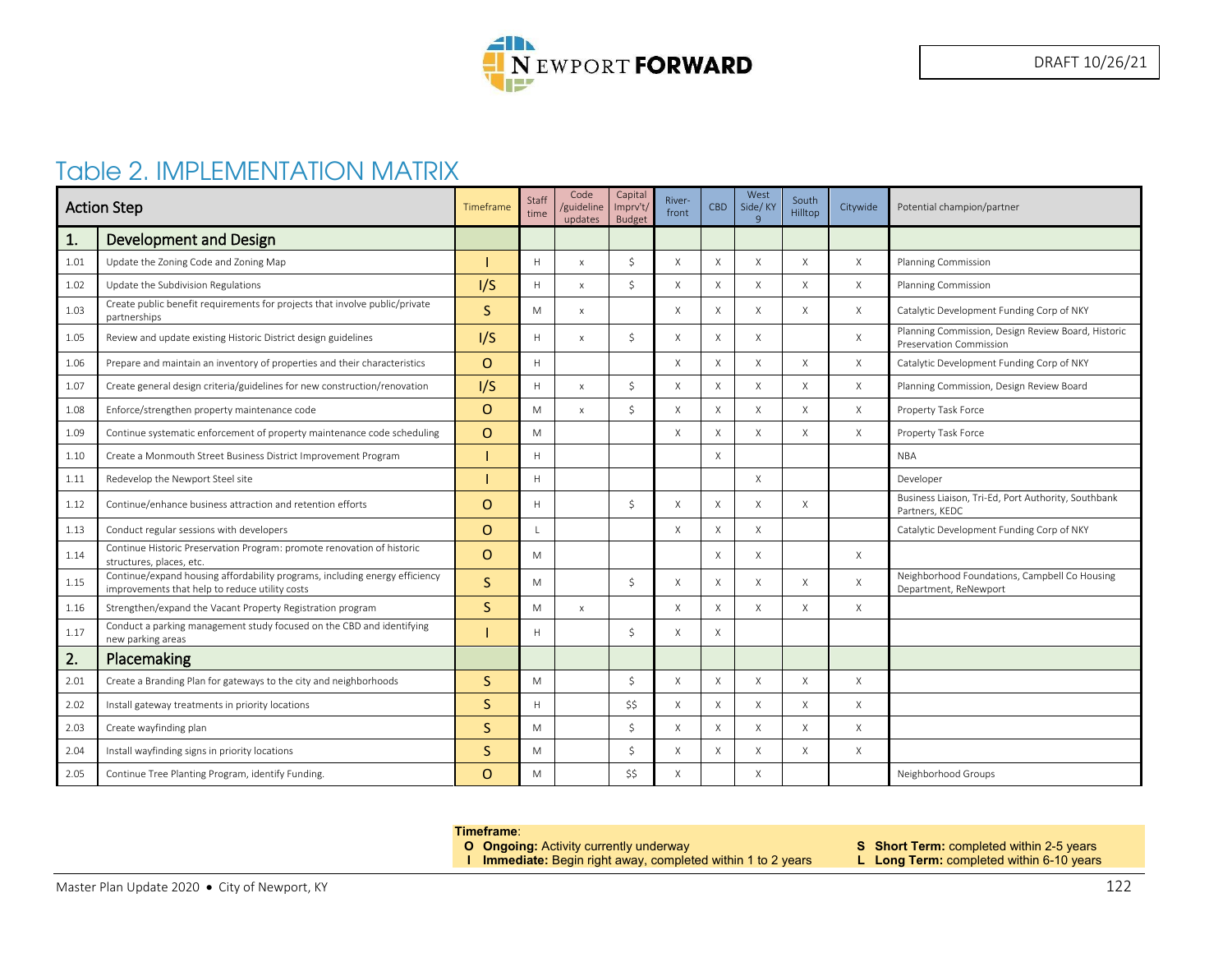

# Table 2. IMPLEMENTATION MATRIX

| <b>Action Step</b> |                                                                                                                               | Timeframe    | Staff<br>time | Code<br>/guideline<br>updates | Capital<br>Imprv't/<br><b>Budget</b> | River-<br>front | <b>CBD</b>                | West<br>Side/KY<br>$\mathbf{q}$ | South<br>Hilltop | Citywide | Potential champion/partner                                                    |
|--------------------|-------------------------------------------------------------------------------------------------------------------------------|--------------|---------------|-------------------------------|--------------------------------------|-----------------|---------------------------|---------------------------------|------------------|----------|-------------------------------------------------------------------------------|
| 1.                 | <b>Development and Design</b>                                                                                                 |              |               |                               |                                      |                 |                           |                                 |                  |          |                                                                               |
| 1.01               | Update the Zoning Code and Zoning Map                                                                                         |              | H             | $\times$                      | <sup>\$</sup>                        | X               | $\times$                  | $\times$                        | $\times$         | X        | <b>Planning Commission</b>                                                    |
| 1.02               | Update the Subdivision Regulations                                                                                            | I/S          | H             | $\mathsf{x}$                  | $\zeta$                              | X               | $\times$                  | $\times$                        | $\times$         | X        | Planning Commission                                                           |
| 1.03               | Create public benefit requirements for projects that involve public/private<br>partnerships                                   | <sub>S</sub> | M             | X                             |                                      | X               | X                         | $\times$                        | X                | X        | Catalytic Development Funding Corp of NKY                                     |
| 1.05               | Review and update existing Historic District design guidelines                                                                | I/S          | H             | $\mathsf{x}$                  | -Ś                                   | X               | $\times$                  | $\times$                        |                  | X        | Planning Commission, Design Review Board, Historic<br>Preservation Commission |
| 1.06               | Prepare and maintain an inventory of properties and their characteristics                                                     | $\circ$      | H             |                               |                                      | X               | X                         | $\times$                        | $\times$         | X        | Catalytic Development Funding Corp of NKY                                     |
| 1.07               | Create general design criteria/guidelines for new construction/renovation                                                     | I/S          | H             | $\mathsf{x}$                  | Ŝ.                                   | X               | $\times$                  | $\times$                        | $\times$         | $\times$ | Planning Commission, Design Review Board                                      |
| 1.08               | Enforce/strengthen property maintenance code                                                                                  | $\Omega$     | M             | $\mathsf{x}$                  | $\mathsf{S}$                         | X               | $\times$                  | $\times$                        | $\times$         | X        | Property Task Force                                                           |
| 1.09               | Continue systematic enforcement of property maintenance code scheduling                                                       | $\circ$      | M             |                               |                                      | X               | X                         | $\times$                        | $\times$         | X        | Property Task Force                                                           |
| 1.10               | Create a Monmouth Street Business District Improvement Program                                                                |              | Н             |                               |                                      |                 | X                         |                                 |                  |          | <b>NBA</b>                                                                    |
| 1.11               | Redevelop the Newport Steel site                                                                                              |              | H             |                               |                                      |                 |                           | X                               |                  |          | Developer                                                                     |
| 1.12               | Continue/enhance business attraction and retention efforts                                                                    | $\circ$      | H             |                               | $\varsigma$                          | X               | $\times$                  | X                               | $\times$         |          | Business Liaison, Tri-Ed, Port Authority, Southbank<br>Partners, KEDC         |
| 1.13               | Conduct regular sessions with developers                                                                                      | $\Omega$     | $\mathbf{L}$  |                               |                                      | X               | X                         | $\times$                        |                  |          | Catalytic Development Funding Corp of NKY                                     |
| 1.14               | Continue Historic Preservation Program: promote renovation of historic<br>structures, places, etc.                            | $\circ$      | M             |                               |                                      |                 | $\boldsymbol{\mathsf{X}}$ | $\times$                        |                  | X        |                                                                               |
| 1.15               | Continue/expand housing affordability programs, including energy efficiency<br>improvements that help to reduce utility costs | <sub>S</sub> | M             |                               | -Ś                                   | X               | X                         | $\times$                        | $\times$         | X        | Neighborhood Foundations, Campbell Co Housing<br>Department, ReNewport        |
| 1.16               | Strengthen/expand the Vacant Property Registration program                                                                    | <sub>S</sub> | M             | $\mathsf X$                   |                                      | X               | $\times$                  | X                               | $\times$         | X        |                                                                               |
| 1.17               | Conduct a parking management study focused on the CBD and identifying<br>new parking areas                                    |              | H             |                               | <sup>\$</sup>                        | X               | X                         |                                 |                  |          |                                                                               |
| 2.                 | Placemaking                                                                                                                   |              |               |                               |                                      |                 |                           |                                 |                  |          |                                                                               |
| 2.01               | Create a Branding Plan for gateways to the city and neighborhoods                                                             | <sub>S</sub> | M             |                               | <sup>\$</sup>                        | X               | X                         | $\times$                        | $\times$         | X        |                                                                               |
| 2.02               | Install gateway treatments in priority locations                                                                              | S            | H             |                               | \$\$                                 | X               | X                         | $\boldsymbol{\mathsf{X}}$       | $\times$         | X        |                                                                               |
| 2.03               | Create wayfinding plan                                                                                                        | <sub>S</sub> | M             |                               | $\mathsf{S}$                         | X               | $\times$                  | $\times$                        | $\times$         | X        |                                                                               |
| 2.04               | Install wayfinding signs in priority locations                                                                                | S            | M             |                               | $\zeta$                              | $\times$        | $\times$                  | $\times$                        | $\times$         | $\times$ |                                                                               |
| 2.05               | Continue Tree Planting Program, identify Funding.                                                                             | $\Omega$     | M             |                               | ŚŚ                                   | X               |                           | $\times$                        |                  |          | Neighborhood Groups                                                           |

#### **Timeframe**:

- -
- **O Ongoing:** Activity currently underway **S Short Term:** completed within 2-5 years
- **I Immediate:** Begin right away, completed within 1 to 2 years **L Long Term:** completed within 6-10 years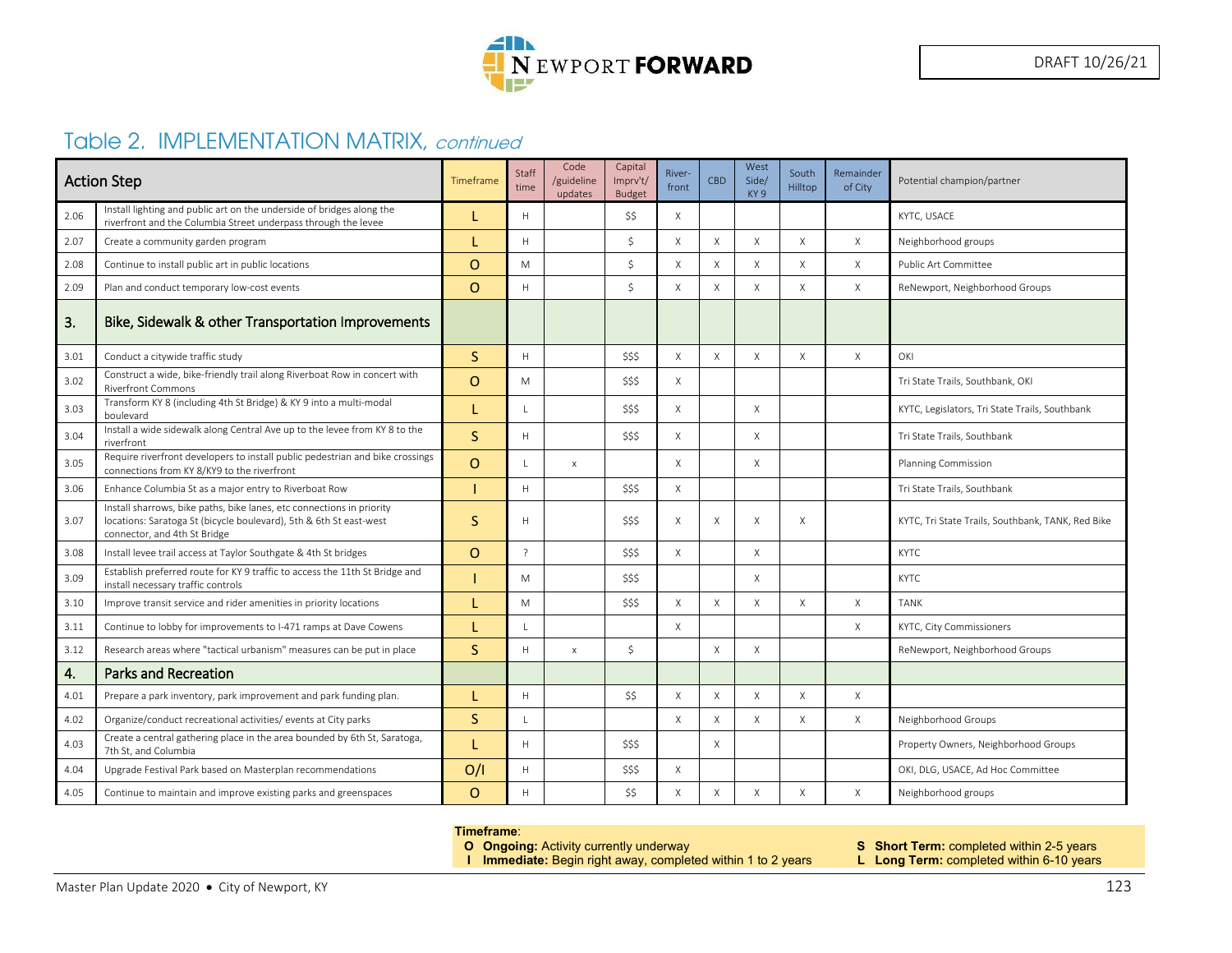

## Table 2. IMPLEMENTATION MATRIX, continued

| <b>Action Step</b> |                                                                                                                                                                             | Timeframe | Staff<br>time  | Code<br>/guideline<br>updates | Capital<br>Imprv't/<br><b>Budget</b> | River-<br>front | <b>CBD</b>  | West<br>Side/<br>KY <sub>9</sub> | South<br>Hilltop | Remainder<br>of City | Potential champion/partner                        |
|--------------------|-----------------------------------------------------------------------------------------------------------------------------------------------------------------------------|-----------|----------------|-------------------------------|--------------------------------------|-----------------|-------------|----------------------------------|------------------|----------------------|---------------------------------------------------|
| 2.06               | Install lighting and public art on the underside of bridges along the<br>riverfront and the Columbia Street underpass through the levee                                     |           | H              |                               | \$\$                                 | X               |             |                                  |                  |                      | KYTC, USACE                                       |
| 2.07               | Create a community garden program                                                                                                                                           |           | H              |                               | \$                                   | X               | $\times$    | $\mathsf{X}$                     | $\mathsf X$      | X                    | Neighborhood groups                               |
| 2.08               | Continue to install public art in public locations                                                                                                                          | $\circ$   | M              |                               | \$                                   | X               | $\times$    | X                                | X                | X                    | Public Art Committee                              |
| 2.09               | Plan and conduct temporary low-cost events                                                                                                                                  | $\Omega$  | H              |                               | $\mathsf{S}$                         | X               | $\mathsf X$ | $\mathsf{X}$                     | X                | X                    | ReNewport, Neighborhood Groups                    |
| 3.                 | Bike, Sidewalk & other Transportation Improvements                                                                                                                          |           |                |                               |                                      |                 |             |                                  |                  |                      |                                                   |
| 3.01               | Conduct a citywide traffic study                                                                                                                                            | S.        | H              |                               | \$\$\$                               | X               | $\times$    | $\times$                         | $\times$         | X                    | OKI                                               |
| 3.02               | Construct a wide, bike-friendly trail along Riverboat Row in concert with<br><b>Riverfront Commons</b>                                                                      | $\Omega$  | M              |                               | \$\$\$                               | $\times$        |             |                                  |                  |                      | Tri State Trails, Southbank, OKI                  |
| 3.03               | Transform KY 8 (including 4th St Bridge) & KY 9 into a multi-modal<br>boulevard                                                                                             |           |                |                               | \$\$\$                               | X               |             | $\times$                         |                  |                      | KYTC, Legislators, Tri State Trails, Southbank    |
| 3.04               | Install a wide sidewalk along Central Ave up to the levee from KY 8 to the<br>riverfront                                                                                    | S         | H              |                               | SSS                                  | X               |             | $\times$                         |                  |                      | Tri State Trails, Southbank                       |
| 3.05               | Require riverfront developers to install public pedestrian and bike crossings<br>connections from KY 8/KY9 to the riverfront                                                | $\Omega$  |                | $\mathsf{X}$                  |                                      | $\times$        |             | X                                |                  |                      | <b>Planning Commission</b>                        |
| 3.06               | Enhance Columbia St as a major entry to Riverboat Row                                                                                                                       |           | H              |                               | \$\$\$                               | $\times$        |             |                                  |                  |                      | Tri State Trails, Southbank                       |
| 3.07               | Install sharrows, bike paths, bike lanes, etc connections in priority<br>locations: Saratoga St (bicycle boulevard), 5th & 6th St east-west<br>connector, and 4th St Bridge | S         | H              |                               | \$\$\$                               | X               | $\times$    | $\chi$                           | $\times$         |                      | KYTC, Tri State Trails, Southbank, TANK, Red Bike |
| 3.08               | Install levee trail access at Taylor Southgate & 4th St bridges                                                                                                             | $\Omega$  | $\overline{z}$ |                               | \$\$\$                               | $\times$        |             | $\mathsf{X}$                     |                  |                      | <b>KYTC</b>                                       |
| 3.09               | Establish preferred route for KY 9 traffic to access the 11th St Bridge and<br>install necessary traffic controls                                                           |           | M              |                               | \$\$\$                               |                 |             | X                                |                  |                      | KYTC                                              |
| 3.10               | Improve transit service and rider amenities in priority locations                                                                                                           |           | M              |                               | \$\$\$                               | X               | $\times$    | X                                | X                | X                    | <b>TANK</b>                                       |
| 3.11               | Continue to lobby for improvements to I-471 ramps at Dave Cowens                                                                                                            |           |                |                               |                                      | $\times$        |             |                                  |                  | X                    | KYTC, City Commissioners                          |
| 3.12               | Research areas where "tactical urbanism" measures can be put in place                                                                                                       | S.        | H              | $\mathsf X$                   | \$                                   |                 | $\mathsf X$ | X                                |                  |                      | ReNewport, Neighborhood Groups                    |
| 4.                 | <b>Parks and Recreation</b>                                                                                                                                                 |           |                |                               |                                      |                 |             |                                  |                  |                      |                                                   |
| 4.01               | Prepare a park inventory, park improvement and park funding plan.                                                                                                           |           | H              |                               | \$\$                                 | X               | X           | $\mathsf X$                      | X                | X                    |                                                   |
| 4.02               | Organize/conduct recreational activities/events at City parks                                                                                                               | S.        |                |                               |                                      | X               | $\times$    | $\mathsf{X}$                     | $\times$         | X                    | Neighborhood Groups                               |
| 4.03               | Create a central gathering place in the area bounded by 6th St, Saratoga,<br>7th St, and Columbia                                                                           |           | H              |                               | \$\$\$                               |                 | X           |                                  |                  |                      | Property Owners, Neighborhood Groups              |
| 4.04               | Upgrade Festival Park based on Masterplan recommendations                                                                                                                   | O/I       | H              |                               | \$\$\$                               | $\times$        |             |                                  |                  |                      | OKI, DLG, USACE, Ad Hoc Committee                 |
| 4.05               | Continue to maintain and improve existing parks and greenspaces                                                                                                             | $\Omega$  | Н              |                               | \$\$                                 | X               | X           | X                                | $\times$         | X                    | Neighborhood groups                               |

#### **Timeframe**:

**O Ongoing:** Activity currently underway **S Short Term:** completed within 2-5 years

**I Immediate:** Begin right away, completed within 1 to 2 years **L Long Term:** completed within 6-10 years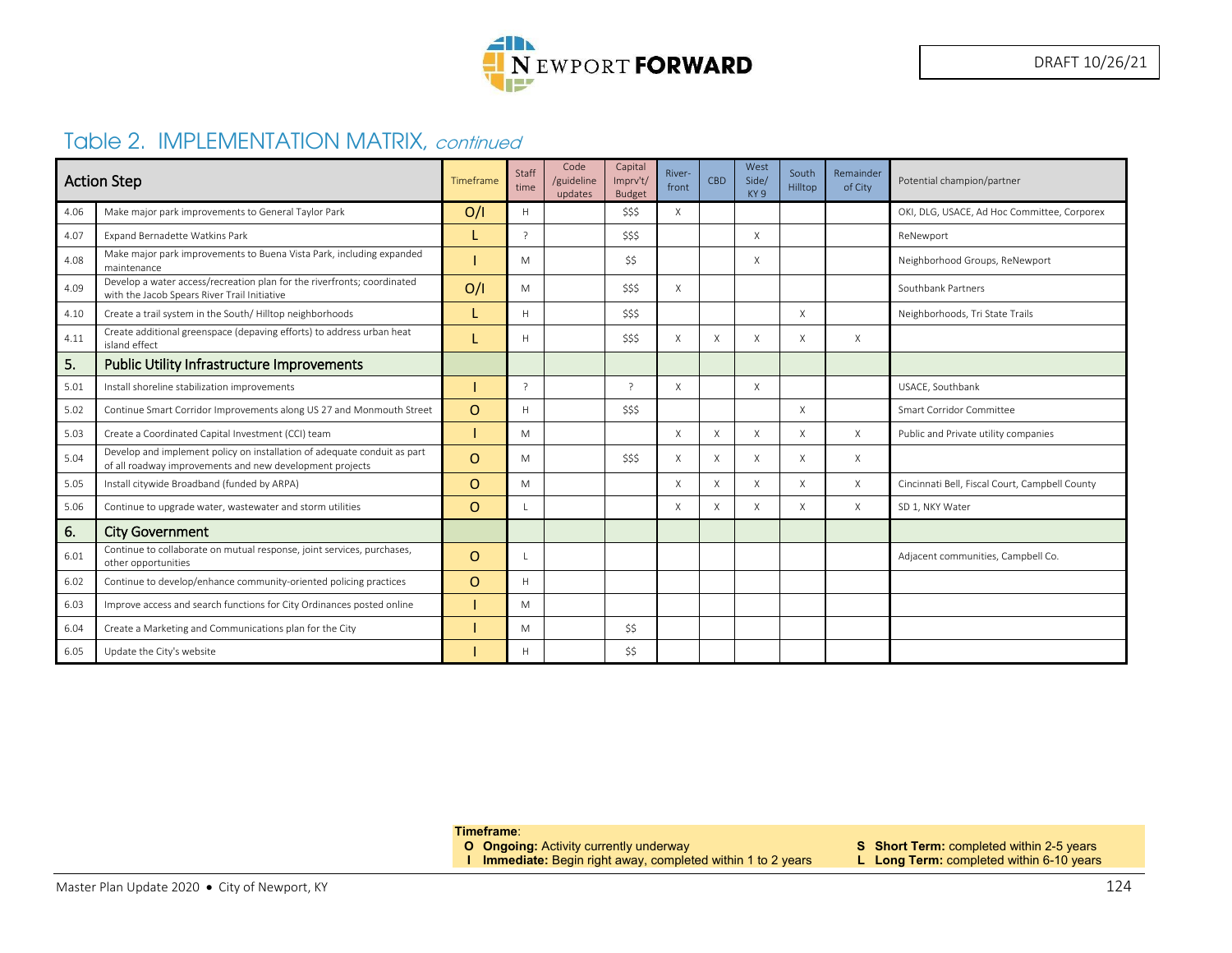

## Table 2. IMPLEMENTATION MATRIX, continued

| <b>Action Step</b> |                                                                                                                                      | Timeframe | Staff<br>time  | Code<br>/guideline<br>updates | Capital<br>Imprv't/<br><b>Budget</b> | River-<br>front | CBD | West<br>Side/<br>KY <sub>9</sub> | South<br>Hilltop | Remainder<br>of City | Potential champion/partner                     |
|--------------------|--------------------------------------------------------------------------------------------------------------------------------------|-----------|----------------|-------------------------------|--------------------------------------|-----------------|-----|----------------------------------|------------------|----------------------|------------------------------------------------|
| 4.06               | Make major park improvements to General Taylor Park                                                                                  | O/I       | H              |                               | \$\$\$                               | X               |     |                                  |                  |                      | OKI, DLG, USACE, Ad Hoc Committee, Corporex    |
| 4.07               | <b>Expand Bernadette Watkins Park</b>                                                                                                |           |                |                               | \$\$\$                               |                 |     | X                                |                  |                      | ReNewport                                      |
| 4.08               | Make major park improvements to Buena Vista Park, including expanded<br>maintenance                                                  |           | M              |                               | \$\$                                 |                 |     | X                                |                  |                      | Neighborhood Groups, ReNewport                 |
| 4.09               | Develop a water access/recreation plan for the riverfronts; coordinated<br>with the Jacob Spears River Trail Initiative              | O/I       | M              |                               | \$\$\$                               | X               |     |                                  |                  |                      | Southbank Partners                             |
| 4.10               | Create a trail system in the South/Hilltop neighborhoods                                                                             |           | H              |                               | \$\$\$                               |                 |     |                                  | X                |                      | Neighborhoods, Tri State Trails                |
| 4.11               | Create additional greenspace (depaving efforts) to address urban heat<br>island effect                                               |           | H              |                               | \$\$\$                               | X               | X   | X                                | X                | $\times$             |                                                |
| 5.                 | <b>Public Utility Infrastructure Improvements</b>                                                                                    |           |                |                               |                                      |                 |     |                                  |                  |                      |                                                |
| 5.01               | Install shoreline stabilization improvements                                                                                         |           | $\overline{z}$ |                               | $\gamma$                             | X               |     | $\times$                         |                  |                      | USACE, Southbank                               |
| 5.02               | Continue Smart Corridor Improvements along US 27 and Monmouth Street                                                                 | $\Omega$  | H              |                               | \$\$\$                               |                 |     |                                  | Χ                |                      | Smart Corridor Committee                       |
| 5.03               | Create a Coordinated Capital Investment (CCI) team                                                                                   |           | M              |                               |                                      | X               | X   | X                                | X                | $\chi$               | Public and Private utility companies           |
| 5.04               | Develop and implement policy on installation of adequate conduit as part<br>of all roadway improvements and new development projects | $\Omega$  | M              |                               | \$\$\$                               | X               | X   | X                                | X                | $\times$             |                                                |
| 5.05               | Install citywide Broadband (funded by ARPA)                                                                                          | $\Omega$  | M              |                               |                                      | X               | X   | X                                | X                | $\times$             | Cincinnati Bell, Fiscal Court, Campbell County |
| 5.06               | Continue to upgrade water, wastewater and storm utilities                                                                            | $\Omega$  |                |                               |                                      | X               | X   | X                                | X                | $\times$             | SD 1, NKY Water                                |
| 6.                 | <b>City Government</b>                                                                                                               |           |                |                               |                                      |                 |     |                                  |                  |                      |                                                |
| 6.01               | Continue to collaborate on mutual response, joint services, purchases,<br>other opportunities                                        | $\Omega$  |                |                               |                                      |                 |     |                                  |                  |                      | Adjacent communities, Campbell Co.             |
| 6.02               | Continue to develop/enhance community-oriented policing practices                                                                    | $\Omega$  | H              |                               |                                      |                 |     |                                  |                  |                      |                                                |
| 6.03               | Improve access and search functions for City Ordinances posted online                                                                |           | M              |                               |                                      |                 |     |                                  |                  |                      |                                                |
| 6.04               | Create a Marketing and Communications plan for the City                                                                              |           | M              |                               | \$\$                                 |                 |     |                                  |                  |                      |                                                |
| 6.05               | Update the City's website                                                                                                            |           | H              |                               | \$\$                                 |                 |     |                                  |                  |                      |                                                |

**Timeframe**:

- 
- **I Immediate:** Begin right away, completed within 1 to 2 years **L Long Term:** completed within 6-10 years
- **O Ongoing:** Activity currently underway **S Short Term:** completed within 2-5 years
	-